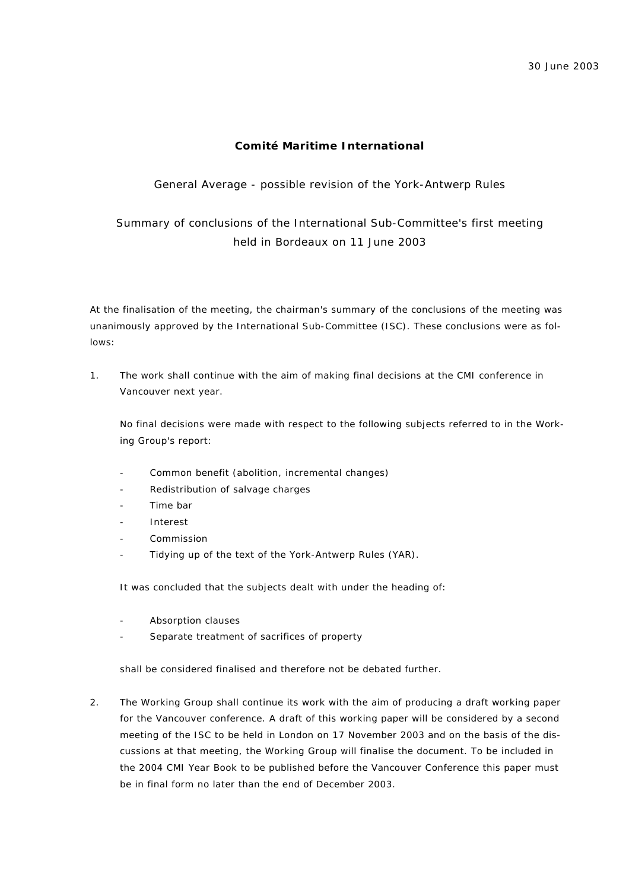# **Comité Maritime International**

## General Average - possible revision of the York-Antwerp Rules

Summary of conclusions of the International Sub-Committee's first meeting held in Bordeaux on 11 June 2003

At the finalisation of the meeting, the chairman's summary of the conclusions of the meeting was unanimously approved by the International Sub-Committee (ISC). These conclusions were as follows:

1. The work shall continue with the aim of making final decisions at the CMI conference in Vancouver next year.

No final decisions were made with respect to the following subjects referred to in the Working Group's report:

- Common benefit (abolition, incremental changes)
- Redistribution of salvage charges
- Time bar
- **Interest**
- **Commission**
- Tidying up of the text of the York-Antwerp Rules (YAR).

It was concluded that the subjects dealt with under the heading of:

- Absorption clauses
- Separate treatment of sacrifices of property

shall be considered finalised and therefore not be debated further.

2. The Working Group shall continue its work with the aim of producing a draft working paper for the Vancouver conference. A draft of this working paper will be considered by a second meeting of the ISC to be held in London on 17 November 2003 and on the basis of the discussions at that meeting, the Working Group will finalise the document. To be included in the 2004 CMI Year Book to be published before the Vancouver Conference this paper must be in final form no later than the end of December 2003.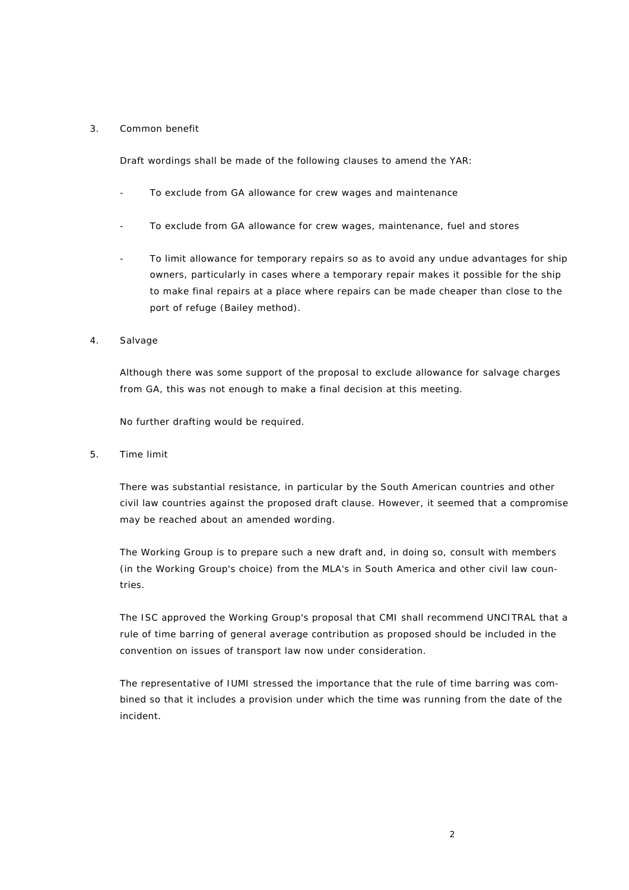#### 3. Common benefit

Draft wordings shall be made of the following clauses to amend the YAR:

- To exclude from GA allowance for crew wages and maintenance
- To exclude from GA allowance for crew wages, maintenance, fuel and stores
- To limit allowance for temporary repairs so as to avoid any undue advantages for ship owners, particularly in cases where a temporary repair makes it possible for the ship to make final repairs at a place where repairs can be made cheaper than close to the port of refuge (Bailey method).
- 4. Salvage

Although there was some support of the proposal to exclude allowance for salvage charges from GA, this was not enough to make a final decision at this meeting.

No further drafting would be required.

5. Time limit

There was substantial resistance, in particular by the South American countries and other civil law countries against the proposed draft clause. However, it seemed that a compromise may be reached about an amended wording.

The Working Group is to prepare such a new draft and, in doing so, consult with members (in the Working Group's choice) from the MLA's in South America and other civil law countries.

The ISC approved the Working Group's proposal that CMI shall recommend UNCITRAL that a rule of time barring of general average contribution as proposed should be included in the convention on issues of transport law now under consideration.

The representative of IUMI stressed the importance that the rule of time barring was combined so that it includes a provision under which the time was running from the date of the incident.